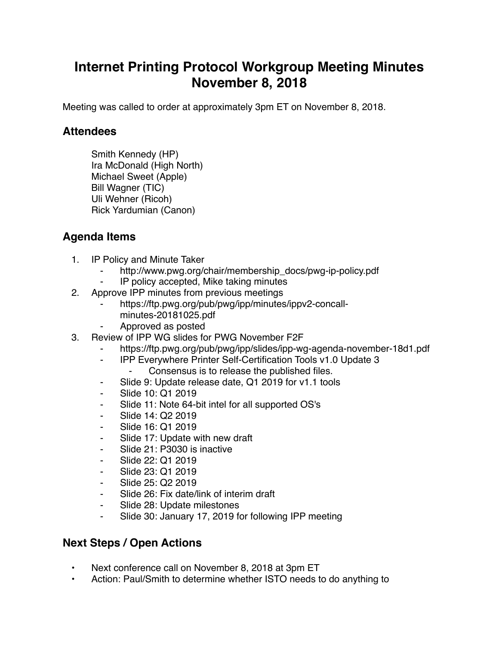## **Internet Printing Protocol Workgroup Meeting Minutes November 8, 2018**

Meeting was called to order at approximately 3pm ET on November 8, 2018.

## **Attendees**

Smith Kennedy (HP) Ira McDonald (High North) Michael Sweet (Apple) Bill Wagner (TIC) Uli Wehner (Ricoh) Rick Yardumian (Canon)

## **Agenda Items**

- 1. IP Policy and Minute Taker
	- http://www.pwg.org/chair/membership\_docs/pwg-ip-policy.pdf
	- IP policy accepted, Mike taking minutes
- 2. Approve IPP minutes from previous meetings
	- https://ftp.pwg.org/pub/pwg/ipp/minutes/ippv2-concallminutes-20181025.pdf
	- ⁃ Approved as posted
- 3. Review of IPP WG slides for PWG November F2F
	- https://ftp.pwg.org/pub/pwg/ipp/slides/ipp-wg-agenda-november-18d1.pdf
	- ⁃ IPP Everywhere Printer Self-Certification Tools v1.0 Update 3
		- Consensus is to release the published files.
	- ⁃ Slide 9: Update release date, Q1 2019 for v1.1 tools
	- Slide 10: Q1 2019
	- Slide 11: Note 64-bit intel for all supported OS's
	- ⁃ Slide 14: Q2 2019
	- ⁃ Slide 16: Q1 2019
	- Slide 17: Update with new draft
	- ⁃ Slide 21: P3030 is inactive
	- ⁃ Slide 22: Q1 2019
	- Slide 23: Q1 2019
	- ⁃ Slide 25: Q2 2019
	- Slide 26: Fix date/link of interim draft
	- ⁃ Slide 28: Update milestones
	- Slide 30: January 17, 2019 for following IPP meeting

## **Next Steps / Open Actions**

- Next conference call on November 8, 2018 at 3pm ET
- Action: Paul/Smith to determine whether ISTO needs to do anything to